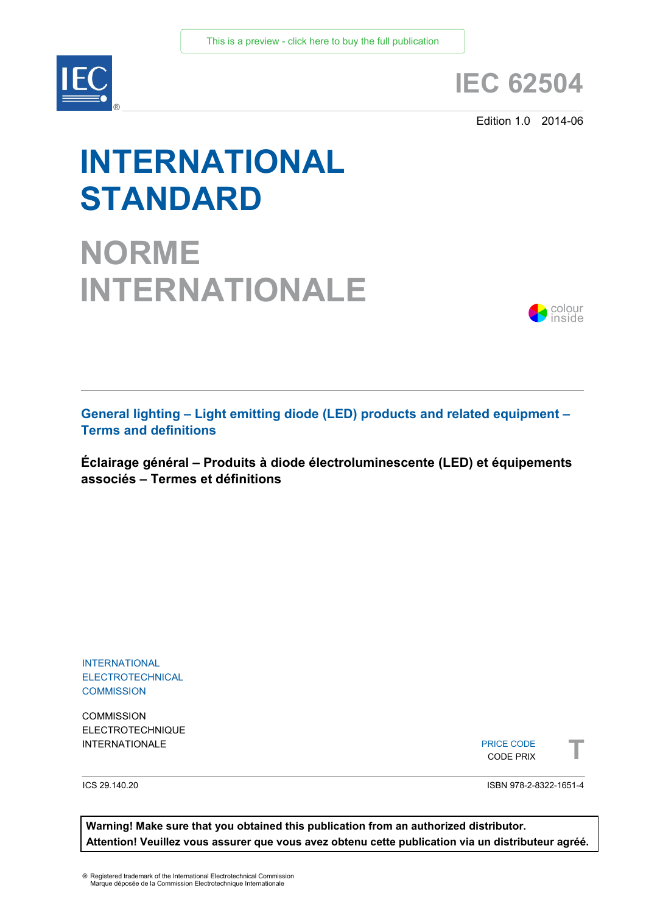

# **IEC 62504**

Edition 1.0 2014-06

# **INTERNATIONAL STANDARD**

**NORME INTERNATIONALE**



**General lighting – Light emitting diode (LED) products and related equipment – Terms and definitions**

**Éclairage général – Produits à diode électroluminescente (LED) et équipements associés – Termes et définitions**

INTERNATIONAL **ELECTROTECHNICAL COMMISSION** 

**COMMISSION** ELECTROTECHNIQUE

INTERNATIONALE PRICE CODE PRIX **The CODE PRICE CODE PRIX** PRICE CODE CODE PRIX



ICS 29.140.20

ISBN 978-2-8322-1651-4

**Warning! Make sure that you obtained this publication from an authorized distributor. Attention! Veuillez vous assurer que vous avez obtenu cette publication via un distributeur agréé.**

® Registered trademark of the International Electrotechnical Commission Marque déposée de la Commission Electrotechnique Internationale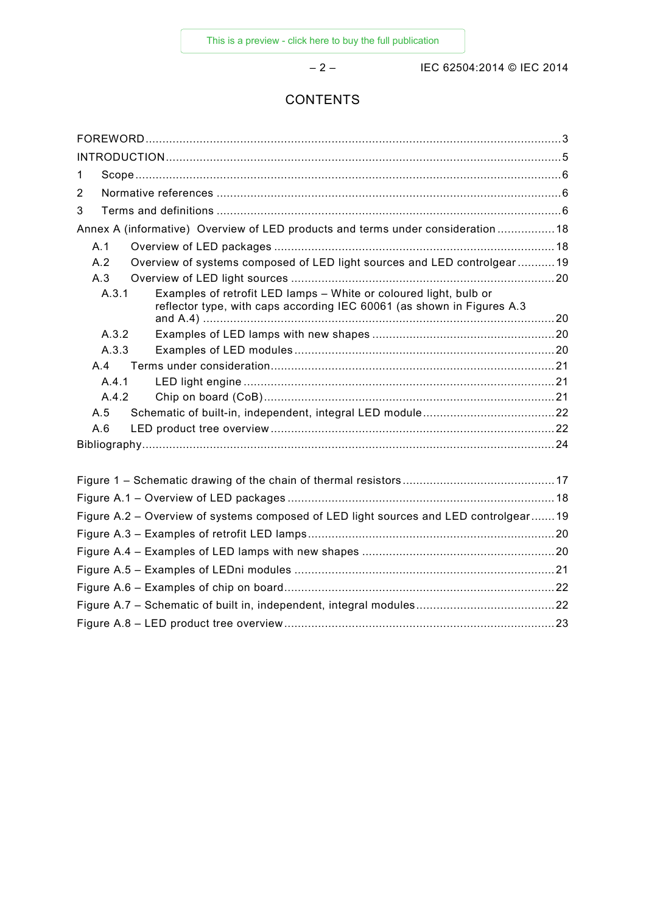– 2 – IEC 62504:2014 © IEC 2014

# CONTENTS

| 1                                                                                                                                                    |  |
|------------------------------------------------------------------------------------------------------------------------------------------------------|--|
| 2                                                                                                                                                    |  |
| 3                                                                                                                                                    |  |
| Annex A (informative) Overview of LED products and terms under consideration  18                                                                     |  |
| A.1                                                                                                                                                  |  |
| Overview of systems composed of LED light sources and LED controlgear19<br>A.2                                                                       |  |
| A.3                                                                                                                                                  |  |
| Examples of retrofit LED lamps - White or coloured light, bulb or<br>A.3.1<br>reflector type, with caps according IEC 60061 (as shown in Figures A.3 |  |
| A.3.2                                                                                                                                                |  |
| A.3.3                                                                                                                                                |  |
| A.4                                                                                                                                                  |  |
| A.4.1                                                                                                                                                |  |
| A.4.2                                                                                                                                                |  |
| A.5                                                                                                                                                  |  |
| A.6                                                                                                                                                  |  |
|                                                                                                                                                      |  |
|                                                                                                                                                      |  |
|                                                                                                                                                      |  |
|                                                                                                                                                      |  |
| Figure A.2 - Overview of systems composed of LED light sources and LED controlgear19                                                                 |  |
|                                                                                                                                                      |  |
|                                                                                                                                                      |  |
|                                                                                                                                                      |  |
|                                                                                                                                                      |  |
|                                                                                                                                                      |  |
|                                                                                                                                                      |  |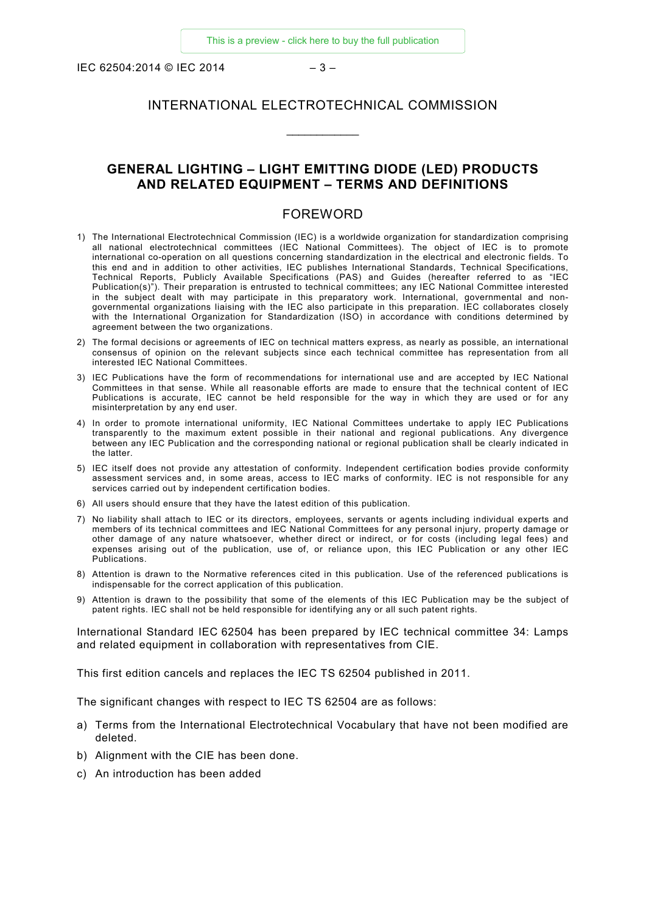IEC 62504:2014 © IEC 2014 –  $3 -$ 

# INTERNATIONAL ELECTROTECHNICAL COMMISSION

 $\overline{\phantom{a}}$ 

# **GENERAL LIGHTING – LIGHT EMITTING DIODE (LED) PRODUCTS AND RELATED EQUIPMENT – TERMS AND DEFINITIONS**

# FOREWORD

- <span id="page-2-0"></span>1) The International Electrotechnical Commission (IEC) is a worldwide organization for standardization comprising all national electrotechnical committees (IEC National Committees). The object of IEC is to promote international co-operation on all questions concerning standardization in the electrical and electronic fields. To this end and in addition to other activities, IEC publishes International Standards, Technical Specifications, Technical Reports, Publicly Available Specifications (PAS) and Guides (hereafter referred to as "IEC Publication(s)"). Their preparation is entrusted to technical committees; any IEC National Committee interested in the subject dealt with may participate in this preparatory work. International, governmental and nongovernmental organizations liaising with the IEC also participate in this preparation. IEC collaborates closely with the International Organization for Standardization (ISO) in accordance with conditions determined by agreement between the two organizations.
- 2) The formal decisions or agreements of IEC on technical matters express, as nearly as possible, an international consensus of opinion on the relevant subjects since each technical committee has representation from all interested IEC National Committees.
- 3) IEC Publications have the form of recommendations for international use and are accepted by IEC National Committees in that sense. While all reasonable efforts are made to ensure that the technical content of IEC Publications is accurate, IEC cannot be held responsible for the way in which they are used or for any misinterpretation by any end user.
- 4) In order to promote international uniformity, IEC National Committees undertake to apply IEC Publications transparently to the maximum extent possible in their national and regional publications. Any divergence between any IEC Publication and the corresponding national or regional publication shall be clearly indicated in the latter.
- 5) IEC itself does not provide any attestation of conformity. Independent certification bodies provide conformity assessment services and, in some areas, access to IEC marks of conformity. IEC is not responsible for any services carried out by independent certification bodies.
- 6) All users should ensure that they have the latest edition of this publication.
- 7) No liability shall attach to IEC or its directors, employees, servants or agents including individual experts and members of its technical committees and IEC National Committees for any personal injury, property damage or other damage of any nature whatsoever, whether direct or indirect, or for costs (including legal fees) and expenses arising out of the publication, use of, or reliance upon, this IEC Publication or any other IEC **Publications**
- 8) Attention is drawn to the Normative references cited in this publication. Use of the referenced publications is indispensable for the correct application of this publication.
- 9) Attention is drawn to the possibility that some of the elements of this IEC Publication may be the subject of patent rights. IEC shall not be held responsible for identifying any or all such patent rights.

International Standard IEC 62504 has been prepared by IEC technical committee 34: Lamps and related equipment in collaboration with representatives from CIE.

This first edition cancels and replaces the IEC TS 62504 published in 2011.

The significant changes with respect to IEC TS 62504 are as follows:

- a) Terms from the International Electrotechnical Vocabulary that have not been modified are deleted.
- b) Alignment with the CIE has been done.
- c) An introduction has been added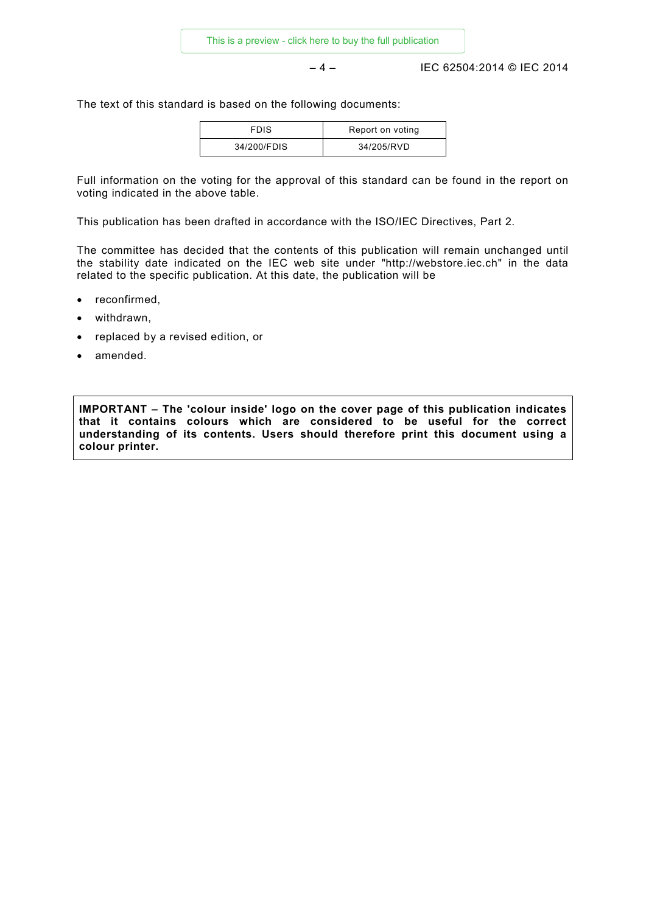– 4 – IEC 62504:2014 © IEC 2014

The text of this standard is based on the following documents:

| <b>FDIS</b> | Report on voting |
|-------------|------------------|
| 34/200/FDIS | 34/205/RVD       |

Full information on the voting for the approval of this standard can be found in the report on voting indicated in the above table.

This publication has been drafted in accordance with the ISO/IEC Directives, Part 2.

The committee has decided that the contents of this publication will remain unchanged until the stability date indicated on the IEC web site under "http://webstore.iec.ch" in the data related to the specific publication. At this date, the publication will be

- reconfirmed,
- withdrawn,
- replaced by a revised edition, or
- amended.

**IMPORTANT – The 'colour inside' logo on the cover page of this publication indicates that it contains colours which are considered to be useful for the correct understanding of its contents. Users should therefore print this document using a colour printer.**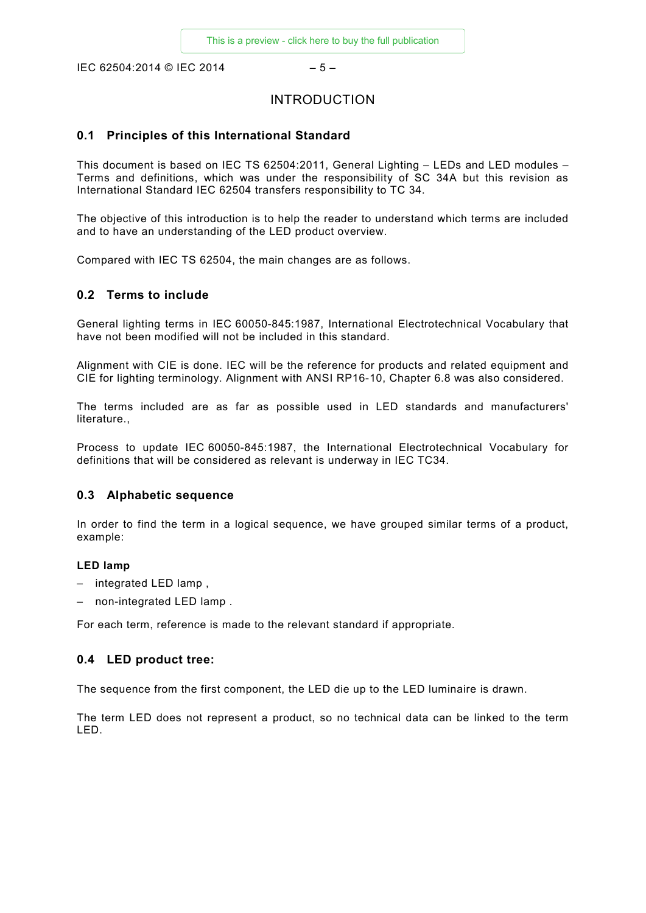<span id="page-4-0"></span>IEC 62504:2014 © IEC 2014 – 5 –

# INTRODUCTION

# **0.1 Principles of this International Standard**

This document is based on IEC TS 62504:2011, General Lighting – LEDs and LED modules – Terms and definitions, which was under the responsibility of SC 34A but this revision as International Standard IEC 62504 transfers responsibility to TC 34.

The objective of this introduction is to help the reader to understand which terms are included and to have an understanding of the LED product overview.

Compared with IEC TS 62504, the main changes are as follows.

# **0.2 Terms to include**

General lighting terms in IEC 60050-845:1987, International Electrotechnical Vocabulary that have not been modified will not be included in this standard.

Alignment with CIE is done. IEC will be the reference for products and related equipment and CIE for lighting terminology. Alignment with ANSI RP16-10, Chapter 6.8 was also considered.

The terms included are as far as possible used in LED standards and manufacturers' literature.,

Process to update IEC 60050-845:1987, the International Electrotechnical Vocabulary for definitions that will be considered as relevant is underway in IEC TC34.

#### **0.3 Alphabetic sequence**

In order to find the term in a logical sequence, we have grouped similar terms of a product, example:

#### **LED lamp**

- integrated LED lamp ,
- non-integrated LED lamp .

For each term, reference is made to the relevant standard if appropriate.

# **0.4 LED product tree:**

The sequence from the first component, the LED die up to the LED luminaire is drawn.

The term LED does not represent a product, so no technical data can be linked to the term LED.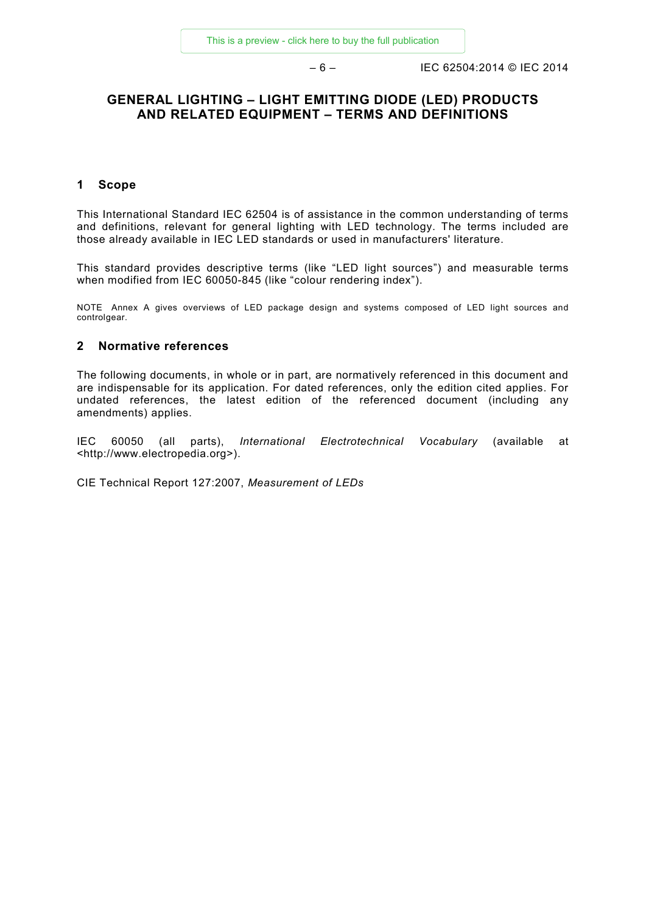# **GENERAL LIGHTING – LIGHT EMITTING DIODE (LED) PRODUCTS AND RELATED EQUIPMENT – TERMS AND DEFINITIONS**

#### <span id="page-5-0"></span>**1 Scope**

This International Standard IEC 62504 is of assistance in the common understanding of terms and definitions, relevant for general lighting with LED technology. The terms included are those already available in IEC LED standards or used in manufacturers' literature.

This standard provides descriptive terms (like "LED light sources") and measurable terms when modified from IEC 60050-845 (like "colour rendering index").

NOTE Annex A gives overviews of LED package design and systems composed of LED light sources and controlgear.

#### <span id="page-5-1"></span>**2 Normative references**

The following documents, in whole or in part, are normatively referenced in this document and are indispensable for its application. For dated references, only the edition cited applies. For undated references, the latest edition of the referenced document (including any amendments) applies.

IEC 60050 (all parts), *International Electrotechnical Vocabulary* (available at <http://www.electropedia.org>).

<span id="page-5-2"></span>CIE Technical Report 127:2007, *Measurement of LEDs*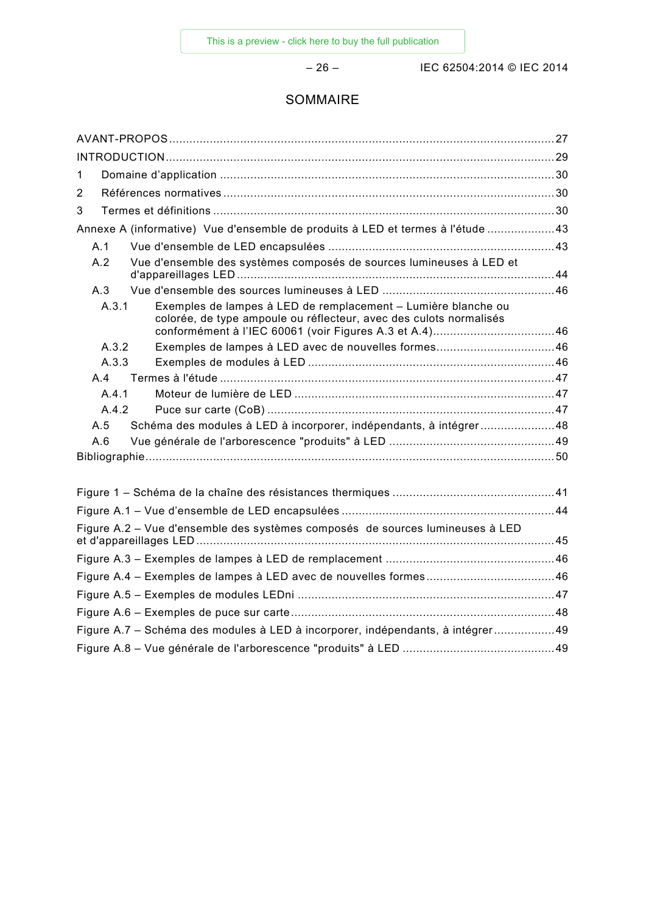– 26 – IEC 62504:2014 © IEC 2014

# SOMMAIRE

| 1                                                                                                                                            |  |  |
|----------------------------------------------------------------------------------------------------------------------------------------------|--|--|
| 2                                                                                                                                            |  |  |
| 3                                                                                                                                            |  |  |
| Annexe A (informative) Vue d'ensemble de produits à LED et termes à l'étude 43                                                               |  |  |
| A.1                                                                                                                                          |  |  |
| Vue d'ensemble des systèmes composés de sources lumineuses à LED et<br>A.2                                                                   |  |  |
| A.3                                                                                                                                          |  |  |
| A.3.1<br>Exemples de lampes à LED de remplacement - Lumière blanche ou<br>colorée, de type ampoule ou réflecteur, avec des culots normalisés |  |  |
| Exemples de lampes à LED avec de nouvelles formes46<br>A.3.2                                                                                 |  |  |
| A.3.3                                                                                                                                        |  |  |
| A.4                                                                                                                                          |  |  |
| A.4.1                                                                                                                                        |  |  |
| A.4.2                                                                                                                                        |  |  |
| Schéma des modules à LED à incorporer, indépendants, à intégrer48<br>A.5                                                                     |  |  |
| A.6                                                                                                                                          |  |  |
|                                                                                                                                              |  |  |
|                                                                                                                                              |  |  |
|                                                                                                                                              |  |  |
| Figure A.2 - Vue d'ensemble des systèmes composés de sources lumineuses à LED                                                                |  |  |
|                                                                                                                                              |  |  |
|                                                                                                                                              |  |  |
|                                                                                                                                              |  |  |
|                                                                                                                                              |  |  |
| Figure A.7 - Schéma des modules à LED à incorporer, indépendants, à intégrer49                                                               |  |  |
|                                                                                                                                              |  |  |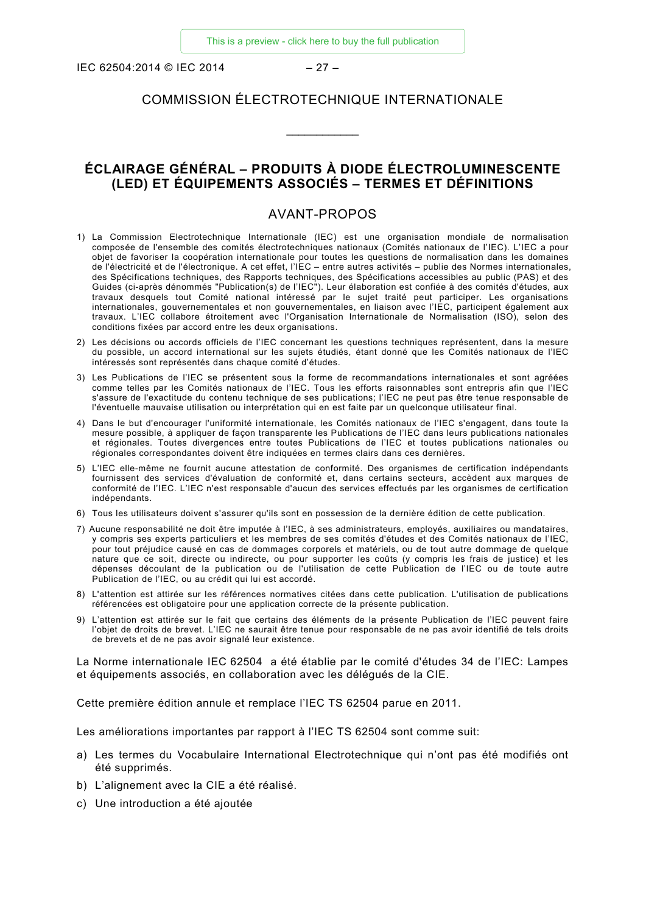IEC 62504:2014 © IEC 2014 – 27 –

# COMMISSION ÉLECTROTECHNIQUE INTERNATIONALE

 $\overline{\phantom{a}}$ 

# **ÉCLAIRAGE GÉNÉRAL – PRODUITS À DIODE ÉLECTROLUMINESCENTE (LED) ET ÉQUIPEMENTS ASSOCIÉS – TERMES ET DÉFINITIONS**

# AVANT-PROPOS

- <span id="page-7-0"></span>1) La Commission Electrotechnique Internationale (IEC) est une organisation mondiale de normalisation composée de l'ensemble des comités électrotechniques nationaux (Comités nationaux de l'IEC). L'IEC a pour objet de favoriser la coopération internationale pour toutes les questions de normalisation dans les domaines de l'électricité et de l'électronique. A cet effet, l'IEC – entre autres activités – publie des Normes internationales, des Spécifications techniques, des Rapports techniques, des Spécifications accessibles au public (PAS) et des Guides (ci-après dénommés "Publication(s) de l'IEC"). Leur élaboration est confiée à des comités d'études, aux travaux desquels tout Comité national intéressé par le sujet traité peut participer. Les organisations internationales, gouvernementales et non gouvernementales, en liaison avec l'IEC, participent également aux travaux. L'IEC collabore étroitement avec l'Organisation Internationale de Normalisation (ISO), selon des conditions fixées par accord entre les deux organisations.
- 2) Les décisions ou accords officiels de l'IEC concernant les questions techniques représentent, dans la mesure du possible, un accord international sur les sujets étudiés, étant donné que les Comités nationaux de l'IEC intéressés sont représentés dans chaque comité d'études.
- 3) Les Publications de l'IEC se présentent sous la forme de recommandations internationales et sont agréées comme telles par les Comités nationaux de l'IEC. Tous les efforts raisonnables sont entrepris afin que l'IEC s'assure de l'exactitude du contenu technique de ses publications; l'IEC ne peut pas être tenue responsable de l'éventuelle mauvaise utilisation ou interprétation qui en est faite par un quelconque utilisateur final.
- 4) Dans le but d'encourager l'uniformité internationale, les Comités nationaux de l'IEC s'engagent, dans toute la mesure possible, à appliquer de façon transparente les Publications de l'IEC dans leurs publications nationales et régionales. Toutes divergences entre toutes Publications de l'IEC et toutes publications nationales ou régionales correspondantes doivent être indiquées en termes clairs dans ces dernières.
- 5) L'IEC elle-même ne fournit aucune attestation de conformité. Des organismes de certification indépendants fournissent des services d'évaluation de conformité et, dans certains secteurs, accèdent aux marques de conformité de l'IEC. L'IEC n'est responsable d'aucun des services effectués par les organismes de certification indépendants.
- 6) Tous les utilisateurs doivent s'assurer qu'ils sont en possession de la dernière édition de cette publication.
- 7) Aucune responsabilité ne doit être imputée à l'IEC, à ses administrateurs, employés, auxiliaires ou mandataires, y compris ses experts particuliers et les membres de ses comités d'études et des Comités nationaux de l'IEC, pour tout préjudice causé en cas de dommages corporels et matériels, ou de tout autre dommage de quelque nature que ce soit, directe ou indirecte, ou pour supporter les coûts (y compris les frais de justice) et les dépenses découlant de la publication ou de l'utilisation de cette Publication de l'IEC ou de toute autre Publication de l'IEC, ou au crédit qui lui est accordé.
- 8) L'attention est attirée sur les références normatives citées dans cette publication. L'utilisation de publications référencées est obligatoire pour une application correcte de la présente publication.
- 9) L'attention est attirée sur le fait que certains des éléments de la présente Publication de l'IEC peuvent faire l'objet de droits de brevet. L'IEC ne saurait être tenue pour responsable de ne pas avoir identifié de tels droits de brevets et de ne pas avoir signalé leur existence.

La Norme internationale IEC 62504 a été établie par le comité d'études 34 de l'IEC: Lampes et équipements associés, en collaboration avec les délégués de la CIE.

Cette première édition annule et remplace l'IEC TS 62504 parue en 2011.

Les améliorations importantes par rapport à l'IEC TS 62504 sont comme suit:

- a) Les termes du Vocabulaire International Electrotechnique qui n'ont pas été modifiés ont été supprimés.
- b) L'alignement avec la CIE a été réalisé.
- c) Une introduction a été ajoutée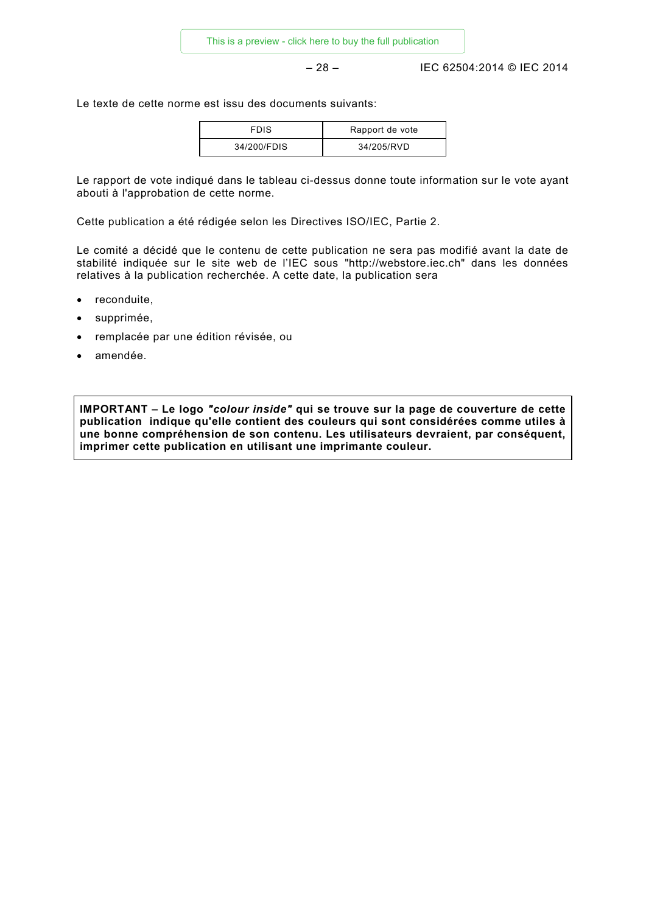– 28 – IEC 62504:2014 © IEC 2014

Le texte de cette norme est issu des documents suivants:

| <b>FDIS</b> | Rapport de vote |
|-------------|-----------------|
| 34/200/FDIS | 34/205/RVD      |

Le rapport de vote indiqué dans le tableau ci-dessus donne toute information sur le vote ayant abouti à l'approbation de cette norme.

Cette publication a été rédigée selon les Directives ISO/IEC, Partie 2.

Le comité a décidé que le contenu de cette publication ne sera pas modifié avant la date de stabilité indiquée sur le site web de l'IEC sous "http://webstore.iec.ch" dans les données relatives à la publication recherchée. A cette date, la publication sera

- reconduite,
- supprimée,
- remplacée par une édition révisée, ou
- amendée.

**IMPORTANT – Le logo** *"colour inside"* **qui se trouve sur la page de couverture de cette publication indique qu'elle contient des couleurs qui sont considérées comme utiles à une bonne compréhension de son contenu. Les utilisateurs devraient, par conséquent, imprimer cette publication en utilisant une imprimante couleur.**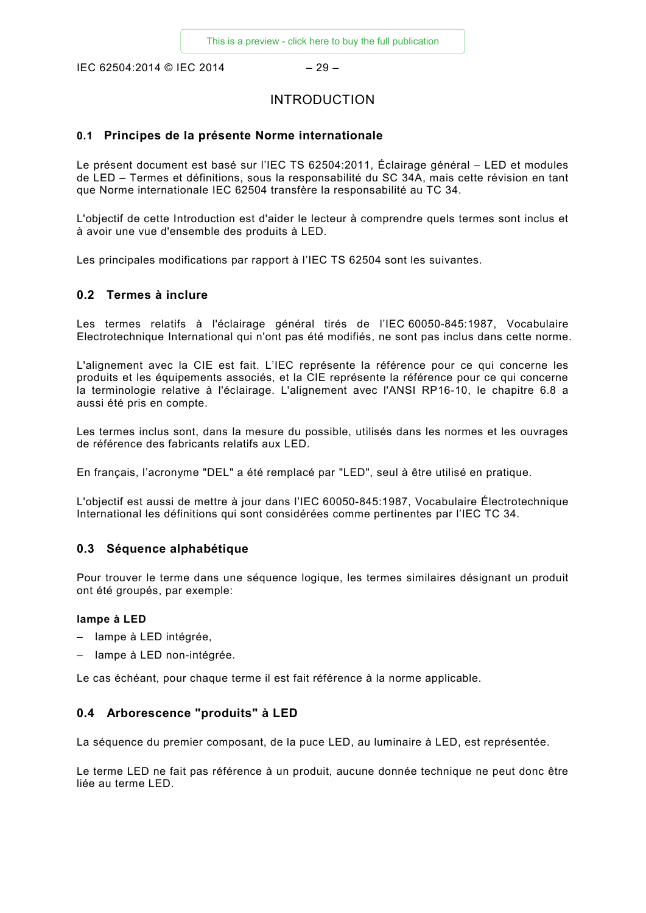<span id="page-9-0"></span>IEC 62504:2014 © IEC 2014 – 29 –

# INTRODUCTION

# **0.1 Principes de la présente Norme internationale**

Le présent document est basé sur l'IEC TS 62504:2011, Éclairage général – LED et modules de LED – Termes et définitions, sous la responsabilité du SC 34A, mais cette révision en tant que Norme internationale IEC 62504 transfère la responsabilité au TC 34.

L'objectif de cette Introduction est d'aider le lecteur à comprendre quels termes sont inclus et à avoir une vue d'ensemble des produits à LED.

Les principales modifications par rapport à l'IEC TS 62504 sont les suivantes.

# **0.2 Termes à inclure**

Les termes relatifs à l'éclairage général tirés de l'IEC 60050-845:1987, Vocabulaire Electrotechnique International qui n'ont pas été modifiés, ne sont pas inclus dans cette norme.

L'alignement avec la CIE est fait. L'IEC représente la référence pour ce qui concerne les produits et les équipements associés, et la CIE représente la référence pour ce qui concerne la terminologie relative à l'éclairage. L'alignement avec l'ANSI RP16-10, le chapitre 6.8 a aussi été pris en compte.

Les termes inclus sont, dans la mesure du possible, utilisés dans les normes et les ouvrages de référence des fabricants relatifs aux LED.

En français, l'acronyme "DEL" a été remplacé par "LED", seul à être utilisé en pratique.

L'objectif est aussi de mettre à jour dans l'IEC 60050-845:1987, Vocabulaire Électrotechnique International les définitions qui sont considérées comme pertinentes par l'IEC TC 34.

#### **0.3 Séquence alphabétique**

Pour trouver le terme dans une séquence logique, les termes similaires désignant un produit ont été groupés, par exemple:

#### **lampe à LED**

- lampe à LED intégrée,
- lampe à LED non-intégrée.

Le cas échéant, pour chaque terme il est fait référence à la norme applicable.

# **0.4 Arborescence "produits" à LED**

La séquence du premier composant, de la puce LED, au luminaire à LED, est représentée.

Le terme LED ne fait pas référence à un produit, aucune donnée technique ne peut donc être liée au terme LED.